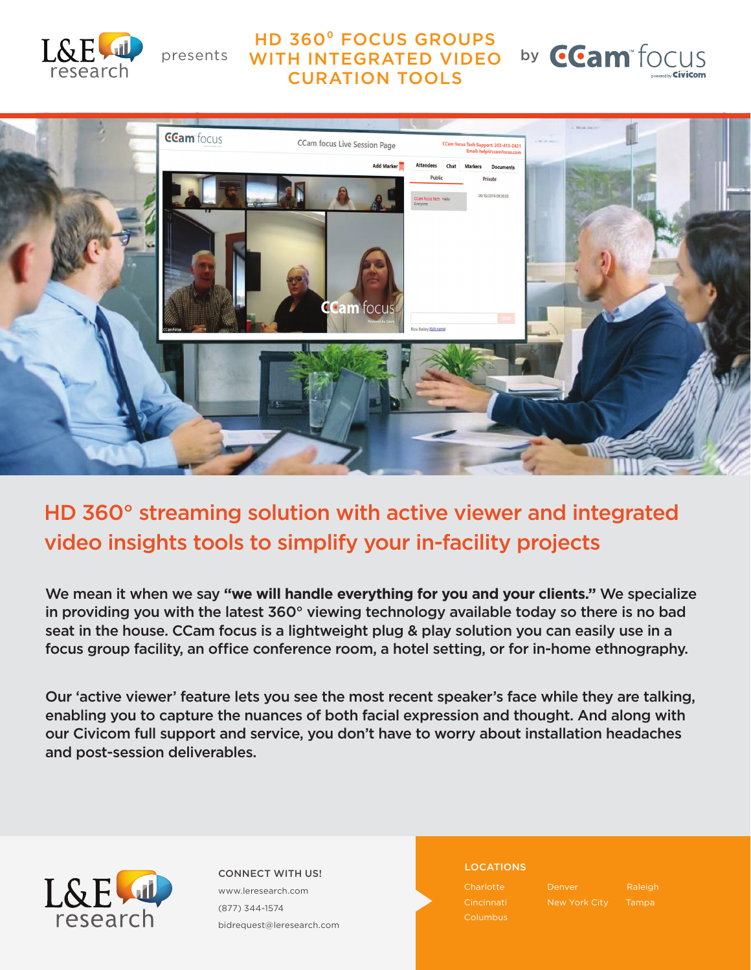

### HD 360⁰ FOCUS GROUPS presents WITH INTEGRATED VIDEO by CURATION TOOLS





## HD 360° streaming solution with active viewer and integrated video insights tools to simplify your in-facility projects

We mean it when we say **"we will handle everything for you and your clients."** We specialize in providing you with the latest 360° viewing technology available today so there is no bad seat in the house. CCam focus is a lightweight plug & play solution you can easily use in a focus group facility, an office conference room, a hotel setting, or for in-home ethnography.

Our 'active viewer' feature lets you see the most recent speaker's face while they are talking, enabling you to capture the nuances of both facial expression and thought. And along with our Civicom full support and service, you don't have to worry about installation headaches and post-session deliverables.



LOCATIONS CONNECT WITH US! www.leresearch.com (877) 344-1574 bidrequest@leresearch.com

Cincinnati